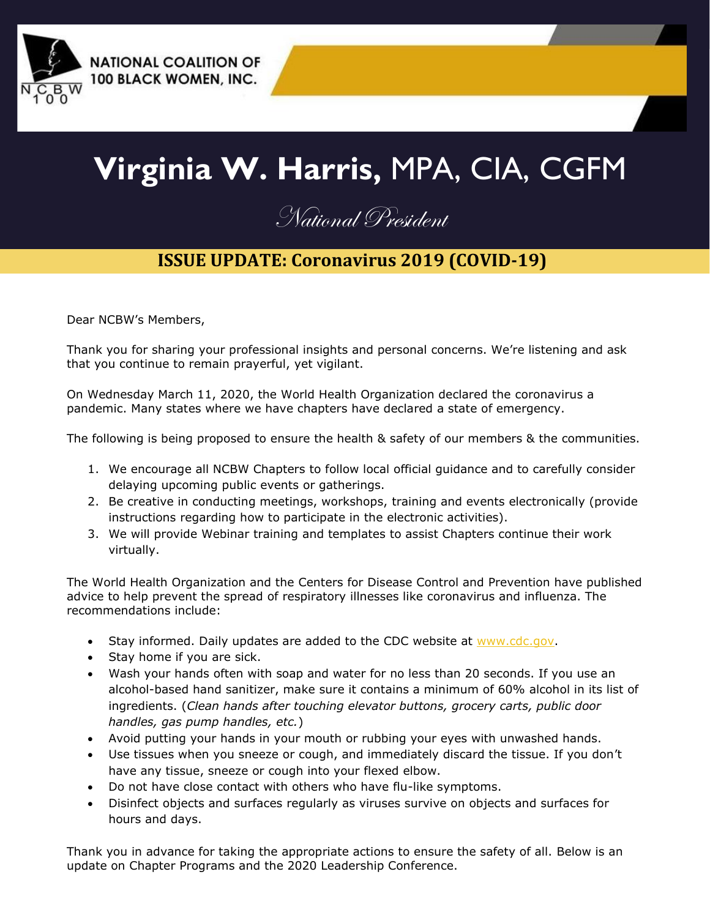

# **Virginia W. Harris,** MPA, CIA, CGFM

## National President

## **ISSUE UPDATE: Coronavirus 2019 (COVID-19)**

Dear NCBW's Members,

Thank you for sharing your professional insights and personal concerns. We're listening and ask that you continue to remain prayerful, yet vigilant.

On Wednesday March 11, 2020, the World Health Organization declared the coronavirus a pandemic. Many states where we have chapters have declared a state of emergency.

The following is being proposed to ensure the health & safety of our members & the communities.

- 1. We encourage all NCBW Chapters to follow local official guidance and to carefully consider delaying upcoming public events or gatherings.
- 2. Be creative in conducting meetings, workshops, training and events electronically (provide instructions regarding how to participate in the electronic activities).
- 3. We will provide Webinar training and templates to assist Chapters continue their work virtually.

The World Health Organization and the Centers for Disease Control and Prevention have published advice to help prevent the spread of respiratory illnesses like coronavirus and influenza. The recommendations include:

- Stay informed. Daily updates are added to the CDC website at [www.cdc.gov.](about:blank)
- Stay home if you are sick.
- Wash your hands often with soap and water for no less than 20 seconds. If you use an alcohol-based hand sanitizer, make sure it contains a minimum of 60% alcohol in its list of ingredients. (*Clean hands after touching elevator buttons, grocery carts, public door handles, gas pump handles, etc.*)
- Avoid putting your hands in your mouth or rubbing your eyes with unwashed hands.
- Use tissues when you sneeze or cough, and immediately discard the tissue. If you don't have any tissue, sneeze or cough into your flexed elbow.
- Do not have close contact with others who have flu-like symptoms.
- Disinfect objects and surfaces regularly as viruses survive on objects and surfaces for hours and days.

Thank you in advance for taking the appropriate actions to ensure the safety of all. Below is an update on Chapter Programs and the 2020 Leadership Conference.